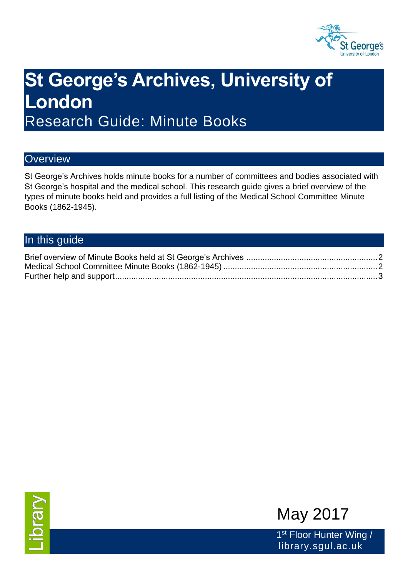

# **St George's Archives, University of London** Research Guide: Minute Books

#### **Overview**

St George's Archives holds minute books for a number of committees and bodies associated with St George's hospital and the medical school. This research guide gives a brief overview of the types of minute books held and provides a full listing of the Medical School Committee Minute Books (1862-1945).

## In this guide





1<sup>st</sup> Floor Hunter Wing / library.sgul.ac.uk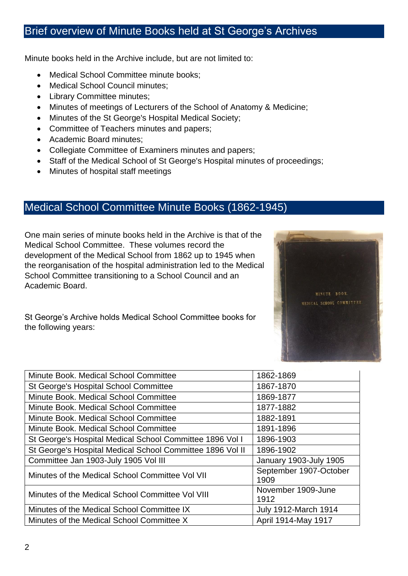### <span id="page-1-0"></span>Brief overview of Minute Books held at St George's Archives

Minute books held in the Archive include, but are not limited to:

- Medical School Committee minute books;
- Medical School Council minutes;
- Library Committee minutes;
- Minutes of meetings of Lecturers of the School of Anatomy & Medicine;
- Minutes of the St George's Hospital Medical Society;
- Committee of Teachers minutes and papers;
- Academic Board minutes:
- Collegiate Committee of Examiners minutes and papers;
- Staff of the Medical School of St George's Hospital minutes of proceedings;
- Minutes of hospital staff meetings

#### <span id="page-1-1"></span>Medical School Committee Minute Books (1862-1945)

One main series of minute books held in the Archive is that of the Medical School Committee. These volumes record the development of the Medical School from 1862 up to 1945 when the reorganisation of the hospital administration led to the Medical School Committee transitioning to a School Council and an Academic Board.



St George's Archive holds Medical School Committee books for the following years:

| Minute Book. Medical School Committee                     | 1862-1869                      |
|-----------------------------------------------------------|--------------------------------|
| St George's Hospital School Committee                     | 1867-1870                      |
| Minute Book. Medical School Committee                     | 1869-1877                      |
| Minute Book. Medical School Committee                     | 1877-1882                      |
| Minute Book. Medical School Committee                     | 1882-1891                      |
| Minute Book, Medical School Committee                     | 1891-1896                      |
| St George's Hospital Medical School Committee 1896 Vol I  | 1896-1903                      |
| St George's Hospital Medical School Committee 1896 Vol II | 1896-1902                      |
| Committee Jan 1903-July 1905 Vol III                      | <b>January 1903-July 1905</b>  |
| Minutes of the Medical School Committee Vol VII           | September 1907-October<br>1909 |
| Minutes of the Medical School Committee Vol VIII          | November 1909-June<br>1912     |
| Minutes of the Medical School Committee IX                | <b>July 1912-March 1914</b>    |
| Minutes of the Medical School Committee X                 | April 1914-May 1917            |